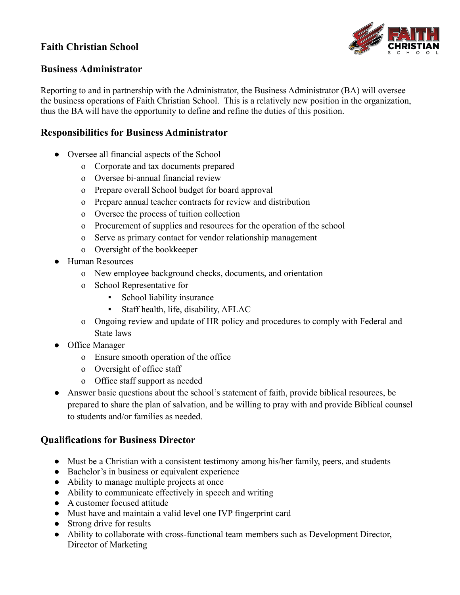# **Faith Christian School**



#### **Business Administrator**

Reporting to and in partnership with the Administrator, the Business Administrator (BA) will oversee the business operations of Faith Christian School. This is a relatively new position in the organization, thus the BA will have the opportunity to define and refine the duties of this position.

#### **Responsibilities for Business Administrator**

- Oversee all financial aspects of the School
	- o Corporate and tax documents prepared
	- o Oversee bi-annual financial review
	- o Prepare overall School budget for board approval
	- o Prepare annual teacher contracts for review and distribution
	- o Oversee the process of tuition collection
	- o Procurement of supplies and resources for the operation of the school
	- o Serve as primary contact for vendor relationship management
	- o Oversight of the bookkeeper
- Human Resources
	- o New employee background checks, documents, and orientation
	- o School Representative for
		- School liability insurance
		- Staff health, life, disability, AFLAC
	- o Ongoing review and update of HR policy and procedures to comply with Federal and State laws
- Office Manager
	- o Ensure smooth operation of the office
	- o Oversight of office staff
	- o Office staff support as needed
- Answer basic questions about the school's statement of faith, provide biblical resources, be prepared to share the plan of salvation, and be willing to pray with and provide Biblical counsel to students and/or families as needed.

### **Qualifications for Business Director**

- Must be a Christian with a consistent testimony among his/her family, peers, and students
- Bachelor's in business or equivalent experience
- Ability to manage multiple projects at once
- Ability to communicate effectively in speech and writing
- A customer focused attitude
- Must have and maintain a valid level one IVP fingerprint card
- Strong drive for results
- Ability to collaborate with cross-functional team members such as Development Director, Director of Marketing